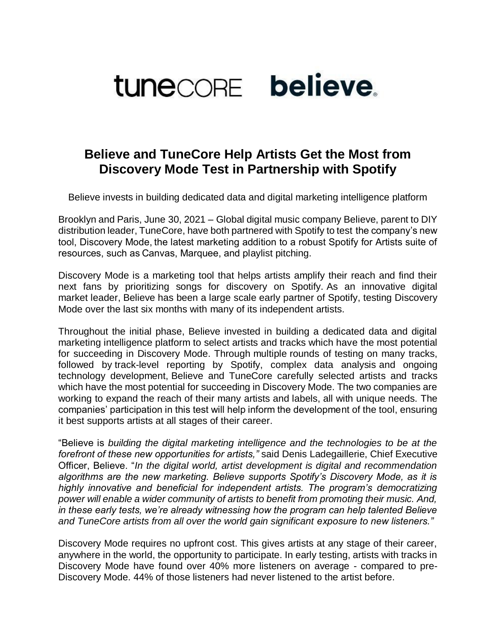

## **Believe and TuneCore Help Artists Get the Most from Discovery Mode Test in Partnership with Spotify**

Believe invests in building dedicated data and digital marketing intelligence platform

Brooklyn and Paris, June 30, 2021 – Global digital music company Believe, parent to DIY distribution leader, TuneCore, have both partnered with Spotify to test the company's new tool, Discovery Mode, the latest marketing addition to a robust Spotify for Artists suite of resources, such as Canvas, Marquee, and playlist pitching.

Discovery Mode is a marketing tool that helps artists amplify their reach and find their next fans by prioritizing songs for discovery on Spotify. As an innovative digital market leader, Believe has been a large scale early partner of Spotify, testing Discovery Mode over the last six months with many of its independent artists.

Throughout the initial phase, Believe invested in building a dedicated data and digital marketing intelligence platform to select artists and tracks which have the most potential for succeeding in Discovery Mode. Through multiple rounds of testing on many tracks, followed by track-level reporting by Spotify, complex data analysis and ongoing technology development, Believe and TuneCore carefully selected artists and tracks which have the most potential for succeeding in Discovery Mode. The two companies are working to expand the reach of their many artists and labels, all with unique needs. The companies' participation in this test will help inform the development of the tool, ensuring it best supports artists at all stages of their career.

"Believe is *building the digital marketing intelligence and the technologies to be at the forefront of these new opportunities for artists,"* said Denis Ladegaillerie, Chief Executive Officer, Believe. "*In the digital world, artist development is digital and recommendation algorithms are the new marketing. Believe supports Spotify's Discovery Mode, as it is highly innovative and beneficial for independent artists. The program's democratizing power will enable a wider community of artists to benefit from promoting their music. And, in these early tests, we're already witnessing how the program can help talented Believe and TuneCore artists from all over the world gain significant exposure to new listeners."*

Discovery Mode requires no upfront cost. This gives artists at any stage of their career, anywhere in the world, the opportunity to participate. In early testing, artists with tracks in Discovery Mode have found over 40% more listeners on average - compared to pre-Discovery Mode. 44% of those listeners had never listened to the artist before.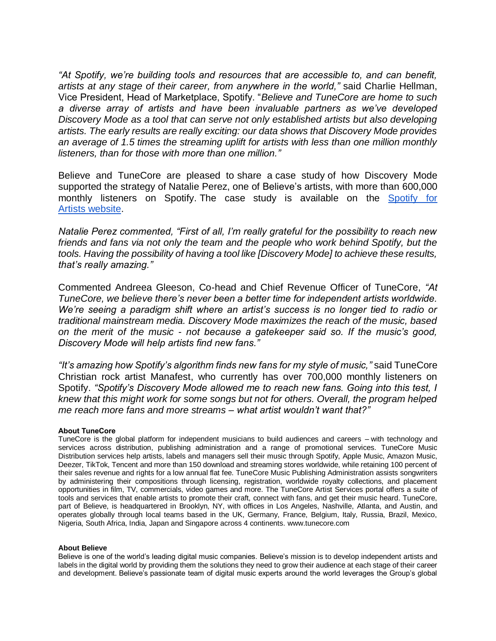*"At Spotify, we're building tools and resources that are accessible to, and can benefit, artists at any stage of their career, from anywhere in the world,"* said Charlie Hellman, Vice President, Head of Marketplace, Spotify. "*Believe and TuneCore are home to such a diverse array of artists and have been invaluable partners as we've developed Discovery Mode as a tool that can serve not only established artists but also developing artists. The early results are really exciting: our data shows that Discovery Mode provides an average of 1.5 times the streaming uplift for artists with less than one million monthly listeners, than for those with more than one million."*

Believe and TuneCore are pleased to share a case study of how Discovery Mode supported the strategy of Natalie Perez, one of Believe's artists, with more than 600,000 monthly listeners on Spotify. The case study is available on the Spotify for Artists [website.](https://artists.spotify.com/blog/discovery-mode-natalie-perez)

*Natalie Perez commented, "First of all, I'm really grateful for the possibility to reach new friends and fans via not only the team and the people who work behind Spotify, but the tools. Having the possibility of having a tool like [Discovery Mode] to achieve these results, that's really amazing."*

Commented Andreea Gleeson, Co-head and Chief Revenue Officer of TuneCore, *"At TuneCore, we believe there's never been a better time for independent artists worldwide. We're seeing a paradigm shift where an artist's success is no longer tied to radio or traditional mainstream media. Discovery Mode maximizes the reach of the music, based on the merit of the music - not because a gatekeeper said so. If the music's good, Discovery Mode will help artists find new fans."*

*"It's amazing how Spotify's algorithm finds new fans for my style of music,"* said TuneCore Christian rock artist Manafest, who currently has over 700,000 monthly listeners on Spotify. *"Spotify's Discovery Mode allowed me to reach new fans. Going into this test, I knew that this might work for some songs but not for others. Overall, the program helped me reach more fans and more streams – what artist wouldn't want that?"*

## **About TuneCore**

TuneCore is the global platform for independent musicians to build audiences and careers – with technology and services across distribution, publishing administration and a range of promotional services. TuneCore Music Distribution services help artists, labels and managers sell their music through Spotify, Apple Music, Amazon Music, Deezer, TikTok, Tencent and more than 150 download and streaming stores worldwide, while retaining 100 percent of their sales revenue and rights for a low annual flat fee. TuneCore Music Publishing Administration assists songwriters by administering their compositions through licensing, registration, worldwide royalty collections, and placement opportunities in film, TV, commercials, video games and more. The TuneCore Artist Services portal offers a suite of tools and services that enable artists to promote their craft, connect with fans, and get their music heard. TuneCore, part of Believe, is headquartered in Brooklyn, NY, with offices in Los Angeles, Nashville, Atlanta, and Austin, and operates globally through local teams based in the UK, Germany, France, Belgium, Italy, Russia, Brazil, Mexico, Nigeria, South Africa, India, Japan and Singapore across 4 continents. [www.tunecore.com](http://www.tunecore.com/)

## **About Believe**

Believe is one of the world's leading digital music companies. Believe's mission is to develop independent artists and labels in the digital world by providing them the solutions they need to grow their audience at each stage of their career and development. Believe's passionate team of digital music experts around the world leverages the Group's global